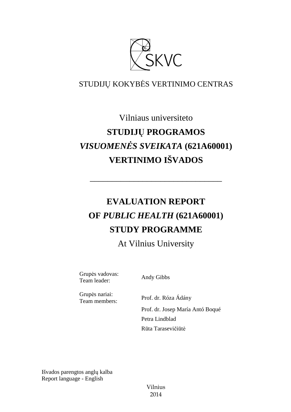

## STUDIJŲ KOKYBĖS VERTINIMO CENTRAS

# Vilniaus universiteto **STUDIJŲ PROGRAMOS**  *VISUOMENĖS SVEIKATA* **(621A60001) VERTINIMO IŠVADOS**

# **EVALUATION REPORT OF** *PUBLIC HEALTH* **(621A60001) STUDY PROGRAMME**

––––––––––––––––––––––––––––––

At Vilnius University

Grupės vadovas: Team leader: Andy Gibbs

Grupės nariai:

Team members: Prof. dr. Róza Ádány Prof. dr. Josep María Antó Boqué Petra Lindblad Rūta Tarasevičiūtė

Išvados parengtos anglų kalba Report language - English

> Vilnius 2014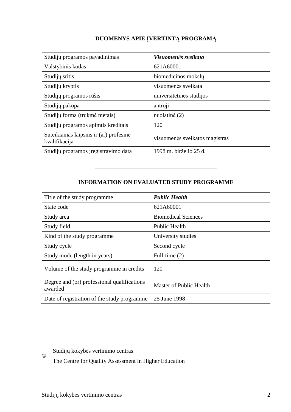### **DUOMENYS APIE ĮVERTINTĄ PROGRAMĄ**

| Studijų programos pavadinimas                           | Visuomenės sveikata            |
|---------------------------------------------------------|--------------------------------|
| Valstybinis kodas                                       | 621A60001                      |
| Studijų sritis                                          | biomedicinos mokslų            |
| Studijų kryptis                                         | visuomenės sveikata            |
| Studijų programos rūšis                                 | universitetinės studijos       |
| Studijų pakopa                                          | antroji                        |
| Studijų forma (trukmė metais)                           | nuolatinė (2)                  |
| Studijų programos apimtis kreditais                     | 120                            |
| Suteikiamas laipsnis ir (ar) profesinė<br>kvalifikacija | visuomenės sveikatos magistras |
| Studijų programos įregistravimo data                    | 1998 m. birželio 25 d.         |

### **INFORMATION ON EVALUATED STUDY PROGRAMME**

–––––––––––––––––––––––––––––––

| Title of the study programme.                          | <b>Public Health</b>       |
|--------------------------------------------------------|----------------------------|
| State code                                             | 621A60001                  |
| Study area                                             | <b>Biomedical Sciences</b> |
| Study field                                            | Public Health              |
| Kind of the study programme.                           | University studies         |
| Study cycle                                            | Second cycle               |
| Study mode (length in years)                           | Full-time (2)              |
| Volume of the study programme in credits               | 120                        |
| Degree and (or) professional qualifications<br>awarded | Master of Public Health    |
| Date of registration of the study programme            | 25 June 1998               |

Studijų kokybės vertinimo centras ©

The Centre for Quality Assessment in Higher Education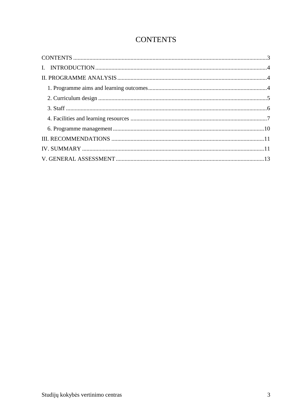## **CONTENTS**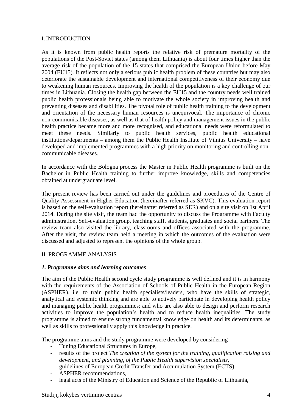#### I. INTRODUCTION

As it is known from public health reports the relative risk of premature mortality of the populations of the Post-Soviet states (among them Lithuania) is about four times higher than the average risk of the population of the 15 states that comprised the European Union before May 2004 (EU15). It reflects not only a serious public health problem of these countries but may also deteriorate the sustainable development and international competitiveness of their economy due to weakening human resources. Improving the health of the population is a key challenge of our times in Lithuania. Closing the health gap between the EU15 and the country needs well trained public health professionals being able to motivate the whole society in improving health and preventing diseases and disabilities. The pivotal role of public health training to the development and orientation of the necessary human resources is unequivocal. The importance of chronic non-communicable diseases, as well as that of health policy and management issues in the public health practice became more and more recognised, and educational needs were reformulated to meet these needs. Similarly to public health services, public health educational institutions/departments – among them the Public Health Institute of Vilnius University – have developed and implemented programmes with a high priority on monitoring and controlling noncommunicable diseases.

In accordance with the Bologna process the Master in Public Health programme is built on the Bachelor in Public Health training to further improve knowledge, skills and competencies obtained at undergraduate level.

The present review has been carried out under the guidelines and procedures of the Centre of Quality Assessment in Higher Education (hereinafter referred as SKVC). This evaluation report is based on the self-evaluation report (hereinafter referred as SER) and on a site visit on 1st April 2014. During the site visit, the team had the opportunity to discuss the Programme with Faculty administration, Self-evaluation group, teaching staff, students, graduates and social partners. The review team also visited the library, classrooms and offices associated with the programme. After the visit, the review team held a meeting in which the outcomes of the evaluation were discussed and adjusted to represent the opinions of the whole group.

#### II. PROGRAMME ANALYSIS

#### *1. Programme aims and learning outcomes*

The aim of the Public Health second cycle study programme is well defined and it is in harmony with the requirements of the Association of Schools of Public Health in the European Region (ASPHER), i.e. to train public health specialists/leaders, who have the skills of strategic, analytical and systemic thinking and are able to actively participate in developing health policy and managing public health programmes; and who are also able to design and perform research activities to improve the population's health and to reduce health inequalities. The study programme is aimed to ensure strong fundamental knowledge on health and its determinants, as well as skills to professionally apply this knowledge in practice.

The programme aims and the study programme were developed by considering

- Tuning Educational Structures in Europe,
- results of the project *The creation of the system for the training, qualification raising and development, and planning, of the Public Health supervision specialists*,
- guidelines of European Credit Transfer and Accumulation System (ECTS),
- ASPHER recommendations.
- legal acts of the Ministry of Education and Science of the Republic of Lithuania,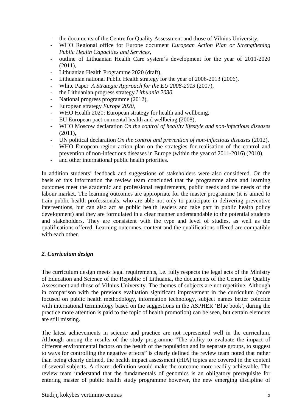- the documents of the Centre for Quality Assessment and those of Vilnius University,
- WHO Regional office for Europe document *European Action Plan or Strengthening Public Health Capacities and Services*,
- outline of Lithuanian Health Care system's development for the year of 2011-2020 (2011),
- Lithuanian Health Programme 2020 (draft),
- Lithuanian national Public Health strategy for the year of 2006-2013 (2006),
- White Paper *A Strategic Approach for the EU 2008-2013* (2007),
- the Lithuanian progress strategy *Lithuania 2030*,
- National progress programme (2012),
- European strategy *Europe 2020*,
- WHO Health 2020: European strategy for health and wellbeing,
- EU European pact on mental health and wellbeing (2008),
- WHO Moscow declaration *On the control of healthy lifestyle and non-infectious diseases*  $(2011)$ ,
- UN political declaration *On the control and prevention of non-infectious diseases* (2012),
- WHO European region action plan on the strategies for realisation of the control and prevention of non-infectious diseases in Europe (within the year of 2011-2016) (2010),
- and other international public health priorities.

In addition students' feedback and suggestions of stakeholders were also considered. On the basis of this information the review team concluded that the programme aims and learning outcomes meet the academic and professional requirements, public needs and the needs of the labour market. The learning outcomes are appropriate for the master programme (it is aimed to train public health professionals, who are able not only to participate in delivering preventive interventions, but can also act as public health leaders and take part in public health policy development) and they are formulated in a clear manner understandable to the potential students and stakeholders. They are consistent with the type and level of studies, as well as the qualifications offered. Learning outcomes, content and the qualifications offered are compatible with each other.

#### *2. Curriculum design*

The curriculum design meets legal requirements, i.e. fully respects the legal acts of the Ministry of Education and Science of the Republic of Lithuania, the documents of the Centre for Quality Assessment and those of Vilnius University. The themes of subjects are not repetitive. Although in comparison with the previous evaluation significant improvement in the curriculum (more focused on public health methodology, information technology, subject names better coincide with international terminology based on the suggestions in the ASPHER 'Blue book', during the practice more attention is paid to the topic of health promotion) can be seen, but certain elements are still missing.

The latest achievements in science and practice are not represented well in the curriculum. Although among the results of the study programme "The ability to evaluate the impact of different environmental factors on the health of the population and its separate groups, to suggest to ways for controlling the negative effects" is clearly defined the review team noted that rather than being clearly defined, the health impact assessment (HIA) topics are covered in the content of several subjects. A clearer definition would make the outcome more readily achievable. The review team understand that the fundamentals of genomics is an obligatory prerequisite for entering master of public health study programme however, the new emerging discipline of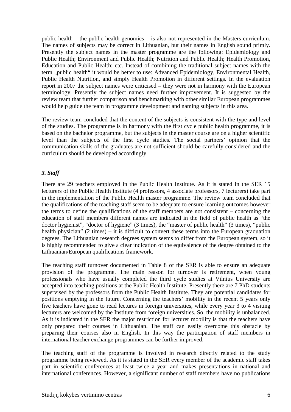public health – the public health genomics – is also not represented in the Masters curriculum. The names of subjects may be correct in Lithuanian, but their names in English sound primly. Presently the subject names in the master programme are the following: Epidemiology and Public Health; Environment and Public Health; Nutrition and Public Health; Health Promotion, Education and Public Health; etc. Instead of combining the traditional subject names with the term "public health" it would be better to use: Advanced Epidemiology, Environmental Health, Public Health Nutrition, and simply Health Promotion in different settings. In the evaluation report in 2007 the subject names were criticised – they were not in harmony with the European terminology. Presently the subject names need further improvement. It is suggested by the review team that further comparison and benchmarking with other similar European programmes would help guide the team in programme development and naming subjects in this area.

The review team concluded that the content of the subjects is consistent with the type and level of the studies. The programme is in harmony with the first cycle public health programme, it is based on the bachelor programme, but the subjects in the master course are on a higher scientific level than the subjects of the first cycle studies. The social partners' opinion that the communication skills of the graduates are not sufficient should be carefully considered and the curriculum should be developed accordingly.

#### *3. Staff*

There are 29 teachers employed in the Public Health Institute. As it is stated in the SER 15 lecturers of the Public Health Institute (4 professors, 4 associate professors, 7 lecturers) take part in the implementation of the Public Health master programme. The review team concluded that the qualifications of the teaching staff seem to be adequate to ensure learning outcomes however the terms to define the qualifications of the staff members are not consistent – concerning the education of staff members different names are indicated in the field of public health as "the doctor hygienist", "doctor of hygiene" (3 times), the "master of public health" (3 times), "public health physician" (2 times) – it is difficult to convert these terms into the European graduation degrees. The Lithuanian research degrees system seems to differ from the European system, so it is highly recommended to give a clear indication of the equivalence of the degree obtained to the Lithuanian/European qualifications framework.

The teaching staff turnover documented in Table 8 of the SER is able to ensure an adequate provision of the programme. The main reason for turnover is retirement, when young professionals who have usually completed the third cycle studies at Vilnius University are accepted into teaching positions at the Public Health Institute. Presently there are 7 PhD students supervised by the professors from the Public Health Institute. They are potential candidates for positions emptying in the future. Concerning the teachers' mobility in the recent 5 years only five teachers have gone to read lectures in foreign universities, while every year 3 to 4 visiting lecturers are welcomed by the Institute from foreign universities. So, the mobility is unbalanced. As it is indicated in the SER the major restriction for lecturer mobility is that the teachers have only prepared their courses in Lithuanian. The staff can easily overcome this obstacle by preparing their courses also in English. In this way the participation of staff members in international teacher exchange programmes can be further improved.

The teaching staff of the programme is involved in research directly related to the study programme being reviewed. As it is stated in the SER every member of the academic staff takes part in scientific conferences at least twice a year and makes presentations in national and international conferences. However, a significant number of staff members have no publications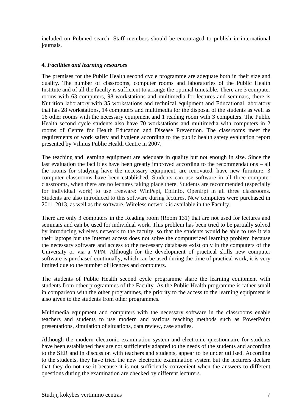included on Pubmed search. Staff members should be encouraged to publish in international journals.

#### *4. Facilities and learning resources*

The premises for the Public Health second cycle programme are adequate both in their size and quality. The number of classrooms, computer rooms and laboratories of the Public Health Institute and of all the faculty is sufficient to arrange the optimal timetable. There are 3 computer rooms with 63 computers, 98 workstations and multimedia for lectures and seminars, there is Nutrition laboratory with 35 workstations and technical equipment and Educational laboratory that has 28 workstations, 14 computers and multimedia for the disposal of the students as well as 16 other rooms with the necessary equipment and 1 reading room with 3 computers. The Public Health second cycle students also have 70 workstations and multimedia with computers in 2 rooms of Centre for Health Education and Disease Prevention. The classrooms meet the requirements of work safety and hygiene according to the public health safety evaluation report presented by Vilnius Public Health Centre in 2007.

The teaching and learning equipment are adequate in quality but not enough in size. Since the last evaluation the facilities have been greatly improved according to the recommendations – all the rooms for studying have the necessary equipment, are renovated, have new furniture. 3 computer classrooms have been established. Students can use software in all three computer classrooms, when there are no lectures taking place there. Students are recommended (especially for individual work) to use freeware: WinPepi, EpiInfo, OpenEpi in all three classrooms. Students are also introduced to this software during lectures. New computers were purchased in 2011-2013, as well as the software. Wireless network is available in the Faculty.

There are only 3 computers in the Reading room (Room 131) that are not used for lectures and seminars and can be used for individual work. This problem has been tried to be partially solved by introducing wireless network to the faculty, so that the students would be able to use it via their laptops but the Internet access does not solve the computerized learning problem because the necessary software and access to the necessary databases exist only in the computers of the University or via a VPN. Although for the development of practical skills new computer software is purchased continually, which can be used during the time of practical work, it is very limited due to the number of licences and computers.

The students of Public Health second cycle programme share the learning equipment with students from other programmes of the Faculty. As the Public Health programme is rather small in comparison with the other programmes, the priority to the access to the learning equipment is also given to the students from other programmes.

Multimedia equipment and computers with the necessary software in the classrooms enable teachers and students to use modern and various teaching methods such as PowerPoint presentations, simulation of situations, data review, case studies.

Although the modern electronic examination system and electronic questionnaire for students have been established they are not sufficiently adapted to the needs of the students and according to the SER and in discussion with teachers and students, appear to be under utilised. According to the students, they have tried the new electronic examination system but the lecturers declare that they do not use it because it is not sufficiently convenient when the answers to different questions during the examination are checked by different lecturers.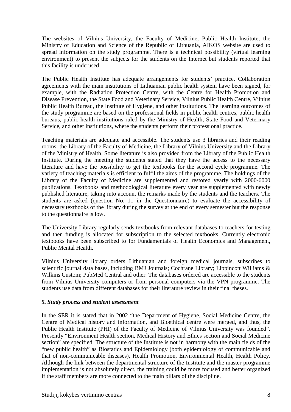The websites of Vilnius University, the Faculty of Medicine, Public Health Institute, the Ministry of Education and Science of the Republic of Lithuania, AIKOS website are used to spread information on the study programme. There is a technical possibility (virtual learning environment) to present the subjects for the students on the Internet but students reported that this facility is underused.

The Public Health Institute has adequate arrangements for students' practice. Collaboration agreements with the main institutions of Lithuanian public health system have been signed, for example, with the Radiation Protection Centre, with the Centre for Health Promotion and Disease Prevention, the State Food and Veterinary Service, Vilnius Public Health Centre, Vilnius Public Health Bureau, the Institute of Hygiene, and other institutions. The learning outcomes of the study programme are based on the professional fields in public health centres, public health bureaus, public health institutions ruled by the Ministry of Health, State Food and Veterinary Service, and other institutions, where the students perform their professional practice.

Teaching materials are adequate and accessible. The students use 3 libraries and their reading rooms: the Library of the Faculty of Medicine, the Library of Vilnius University and the Library of the Ministry of Health. Some literature is also provided from the Library of the Public Health Institute. During the meeting the students stated that they have the access to the necessary literature and have the possibility to get the textbooks for the second cycle programme. The variety of teaching materials is efficient to fulfil the aims of the programme. The holdings of the Library of the Faculty of Medicine are supplemented and restored yearly with 2000-6000 publications. Textbooks and methodological literature every year are supplemented with newly published literature, taking into account the remarks made by the students and the teachers. The students are asked (question No. 11 in the Questionnaire) to evaluate the accessibility of necessary textbooks of the library during the survey at the end of every semester but the response to the questionnaire is low.

The University Library regularly sends textbooks from relevant databases to teachers for testing and then funding is allocated for subscription to the selected textbooks. Currently electronic textbooks have been subscribed to for Fundamentals of Health Economics and Management, Public Mental Health.

Vilnius University library orders Lithuanian and foreign medical journals, subscribes to scientific journal data bases, including BMJ Journals; Cochrane Library; Lippincott Williams & Wilkins Custom; PubMed Central and other. The databases ordered are accessible to the students from Vilnius University computers or from personal computers via the VPN programme. The students use data from different databases for their literature review in their final theses.

#### *5. Study process and student assessment*

In the SER it is stated that in 2002 "the Department of Hygiene, Social Medicine Centre, the Centre of Medical history and information, and Bioethical centre were merged, and thus, the Public Health Institute (PHI) of the Faculty of Medicine of Vilnius University was founded". Presently "Environment Health section, Medical History and Ethics section and Social Medicine section" are specified. The structure of the Institute is not in harmony with the main fields of the "new public health" as Biostatics and Epidemiology (both epidemiology of communicable and that of non-communicable diseases), Health Promotion, Environmental Health, Health Policy. Although the link between the departmental structure of the Institute and the master programme implementation is not absolutely direct, the training could be more focused and better organized if the staff members are more connected to the main pillars of the discipline.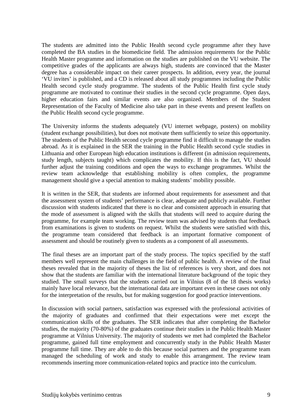The students are admitted into the Public Health second cycle programme after they have completed the BA studies in the biomedicine field. The admission requirements for the Public Health Master programme and information on the studies are published on the VU website. The competitive grades of the applicants are always high, students are convinced that the Master degree has a considerable impact on their career prospects. In addition, every year, the journal 'VU invites' is published, and a CD is released about all study programmes including the Public Health second cycle study programme. The students of the Public Health first cycle study programme are motivated to continue their studies in the second cycle programme. Open days, higher education fairs and similar events are also organized. Members of the Student Representation of the Faculty of Medicine also take part in these events and present leaflets on the Public Health second cycle programme.

The University informs the students adequately (VU internet webpage, posters) on mobility (student exchange possibilities), but does not motivate them sufficiently to seize this opportunity. The students of the Public Health second cycle programme find it difficult to manage the studies abroad. As it is explained in the SER the training in the Public Health second cycle studies in Lithuania and other European high education institutions is different (in admission requirements, study length, subjects taught) which complicates the mobility. If this is the fact, VU should further adjust the training conditions and open the ways to exchange programmes. Whilst the review team acknowledge that establishing mobility is often complex, the programme management should give a special attention to making students' mobility possible.

It is written in the SER, that students are informed about requirements for assessment and that the assessment system of students' performance is clear, adequate and publicly available. Further discussion with students indicated that there is no clear and consistent approach in ensuring that the mode of assessment is aligned with the skills that students will need to acquire during the programme, for example team working. The review team was advised by students that feedback from examinations is given to students on request. Whilst the students were satisfied with this, the programme team considered that feedback is an important formative component of assessment and should be routinely given to students as a component of all assessments.

The final theses are an important part of the study process. The topics specified by the staff members well represent the main challenges in the field of public health. A review of the final theses revealed that in the majority of theses the list of references is very short, and does not show that the students are familiar with the international literature background of the topic they studied. The small surveys that the students carried out in Vilnius (8 of the 18 thesis works) mainly have local relevance, but the international data are important even in these cases not only for the interpretation of the results, but for making suggestion for good practice interventions.

In discussion with social partners, satisfaction was expressed with the professional activities of the majority of graduates and confirmed that their expectations were met except the communication skills of the graduates. The SER indicates that after completing the Bachelor studies, the majority (70-80%) of the graduates continue their studies in the Public Health Master programme at Vilnius University. The majority of students we met had completed the Bachelor programme, gained full time employment and concurrently study in the Public Health Master programme full time. They are able to do this because social partners and the programme team managed the scheduling of work and study to enable this arrangement. The review team recommends inserting more communication-related topics and practice into the curriculum.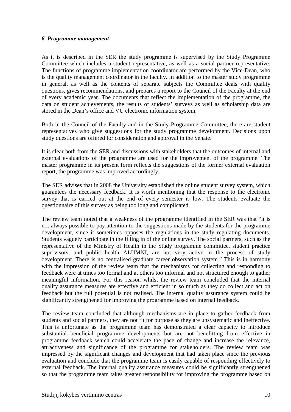#### *6. Programme management*

As it is described in the SER the study programme is supervised by the Study Programme Committee which includes a student representative, as well as a social partner representative. The functions of programme implementation coordinator are performed by the Vice-Dean, who is the quality management coordinator in the faculty. In addition to the master study programme in general, as well as the contents of separate subjects the Committee deals with quality questions, gives recommendations, and prepares a report to the Council of the Faculty at the end of every academic year. The documents that reflect the implementation of the programme, the data on student achievements, the results of students' surveys as well as scholarship data are stored in the Dean's office and VU electronic information system.

Both in the Council of the Faculty and in the Study Programme Committee, there are student representatives who give suggestions for the study programme development. Decisions upon study questions are offered for consideration and approval in the Senate.

It is clear both from the SER and discussions with stakeholders that the outcomes of internal and external evaluations of the programme are used for the improvement of the programme. The master programme in its present form reflects the suggestions of the former external evaluation report, the programme was improved accordingly.

The SER advises that in 2008 the University established the online student survey system, which guarantees the necessary feedback. It is worth mentioning that the response to the electronic survey that is carried out at the end of every semester is low. The students evaluate the questionnaire of this survey as being too long and complicated.

The review team noted that a weakness of the programme identified in the SER was that "it is not always possible to pay attention to the suggestions made by the students for the programme development, since it sometimes opposes the regulations in the study regulating documents. Students vaguely participate in the filling in of the online survey. The social partners, such as the representative of the Ministry of Health in the Study programme committee, student practice supervisors, and public health ALUMNI, are not very active in the process of study development. There is no centralised graduate career observation system." This is in harmony with the impression of the review team that the mechanisms for collecting and responding to feedback were at times too formal and at others too informal and not structured enough to gather meaningful information. For this reason whilst the review team concluded that the internal quality assurance measures are effective and efficient in so much as they do collect and act on feedback but the full potential is not realised. The internal quality assurance system could be significantly strengthened for improving the programme based on internal feedback.

The review team concluded that although mechanisms are in place to gather feedback from students and social partners, they are not fit for purpose as they are unsystematic and ineffective. This is unfortunate as the programme team has demonstrated a clear capacity to introduce substantial beneficial programme developments but are not benefitting from effective in programme feedback which could accelerate the pace of change and increase the relevance, attractiveness and significance of the programme for stakeholders. The review team was impressed by the significant changes and development that had taken place since the previous evaluation and conclude that the programme team is easily capable of responding effectively to external feedback. The internal quality assurance measures could be significantly strengthened so that the programme team takes greater responsibility for improving the programme based on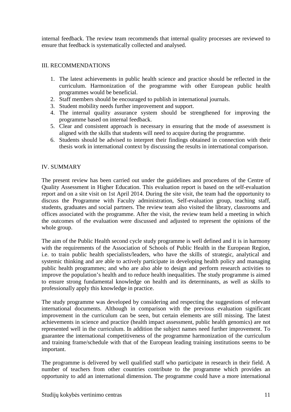internal feedback. The review team recommends that internal quality processes are reviewed to ensure that feedback is systematically collected and analysed.

#### III. RECOMMENDATIONS

- 1. The latest achievements in public health science and practice should be reflected in the curriculum. Harmonization of the programme with other European public health programmes would be beneficial.
- 2. Staff members should be encouraged to publish in international journals.
- 3. Student mobility needs further improvement and support.
- 4. The internal quality assurance system should be strengthened for improving the programme based on internal feedback.
- 5. Clear and consistent approach is necessary in ensuring that the mode of assessment is aligned with the skills that students will need to acquire during the programme.
- 6. Students should be advised to interpret their findings obtained in connection with their thesis work in international context by discussing the results in international comparison.

#### IV. SUMMARY

The present review has been carried out under the guidelines and procedures of the Centre of Quality Assessment in Higher Education. This evaluation report is based on the self-evaluation report and on a site visit on 1st April 2014. During the site visit, the team had the opportunity to discuss the Programme with Faculty administration, Self-evaluation group, teaching staff, students, graduates and social partners. The review team also visited the library, classrooms and offices associated with the programme. After the visit, the review team held a meeting in which the outcomes of the evaluation were discussed and adjusted to represent the opinions of the whole group.

The aim of the Public Health second cycle study programme is well defined and it is in harmony with the requirements of the Association of Schools of Public Health in the European Region, i.e. to train public health specialists/leaders, who have the skills of strategic, analytical and systemic thinking and are able to actively participate in developing health policy and managing public health programmes; and who are also able to design and perform research activities to improve the population's health and to reduce health inequalities. The study programme is aimed to ensure strong fundamental knowledge on health and its determinants, as well as skills to professionally apply this knowledge in practice.

The study programme was developed by considering and respecting the suggestions of relevant international documents. Although in comparison with the previous evaluation significant improvement in the curriculum can be seen, but certain elements are still missing. The latest achievements in science and practice (health impact assessment, public health genomics) are not represented well in the curriculum. In addition the subject names need further improvement. To guarantee the international competitiveness of the programme harmonization of the curriculum and training frame/schedule with that of the European leading training institutions seems to be important.

The programme is delivered by well qualified staff who participate in research in their field. A number of teachers from other countries contribute to the programme which provides an opportunity to add an international dimension. The programme could have a more international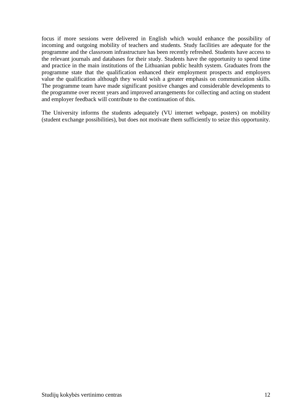focus if more sessions were delivered in English which would enhance the possibility of incoming and outgoing mobility of teachers and students. Study facilities are adequate for the programme and the classroom infrastructure has been recently refreshed. Students have access to the relevant journals and databases for their study. Students have the opportunity to spend time and practice in the main institutions of the Lithuanian public health system. Graduates from the programme state that the qualification enhanced their employment prospects and employers value the qualification although they would wish a greater emphasis on communication skills. The programme team have made significant positive changes and considerable developments to the programme over recent years and improved arrangements for collecting and acting on student and employer feedback will contribute to the continuation of this.

The University informs the students adequately (VU internet webpage, posters) on mobility (student exchange possibilities), but does not motivate them sufficiently to seize this opportunity.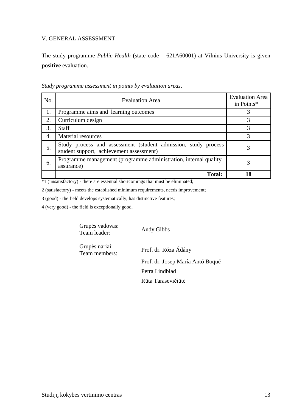#### V. GENERAL ASSESSMENT

The study programme *Public Health* (state code – 621A60001) at Vilnius University is given **positive** evaluation.

| No. | <b>Evaluation Area</b>                                                                                     | <b>Evaluation Area</b><br>in Points* |
|-----|------------------------------------------------------------------------------------------------------------|--------------------------------------|
| 1.  | Programme aims and learning outcomes                                                                       | 3                                    |
| 2.  | Curriculum design                                                                                          | 3                                    |
| 3.  | <b>Staff</b>                                                                                               | 3                                    |
| 4.  | Material resources                                                                                         | 3                                    |
| 5.  | Study process and assessment (student admission, study process<br>student support, achievement assessment) | 3                                    |
| 6.  | Programme management (programme administration, internal quality<br>assurance)                             | 3                                    |
|     | <b>Total:</b>                                                                                              | 18                                   |

*Study programme assessment in points by evaluation areas*.

\*1 (unsatisfactory) - there are essential shortcomings that must be eliminated;

2 (satisfactory) - meets the established minimum requirements, needs improvement;

3 (good) - the field develops systematically, has distinctive features;

4 (very good) - the field is exceptionally good.

Grupės vadovas: Supes values.<br>Team leader: Andy Gibbs

Grupės nariai:

Team members: Prof. dr. Róza Ádány Prof. dr. Josep María Antó Boqué Petra Lindblad Rūta Tarasevičiūtė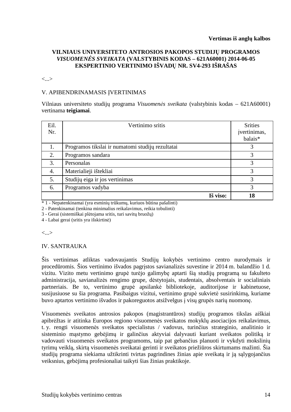#### **VILNIAUS UNIVERSITETO ANTROSIOS PAKOPOS STUDIJŲ PROGRAMOS**  *VISUOMENĖS SVEIKATA* **(VALSTYBINIS KODAS – 621A60001) 2014-06-05 EKSPERTINIO VERTINIMO IŠVADŲ NR. SV4-293 IŠRAŠAS**

<...>

#### V. APIBENDRINAMASIS ĮVERTINIMAS

Vilniaus universiteto studijų programa *Visuomenės sveikata* (valstybinis kodas – 621A60001) vertinama **teigiamai**.

| Eil.<br>Nr. | Vertinimo sritis                                 | <b>Srities</b><br>jvertinimas,<br>balais* |
|-------------|--------------------------------------------------|-------------------------------------------|
| 1.          | Programos tikslai ir numatomi studijų rezultatai |                                           |
| 2.          | Programos sandara                                |                                           |
| 3.          | Personalas                                       | 3                                         |
| 4.          | Materialieji ištekliai                           | 3                                         |
| 5.          | Studijų eiga ir jos vertinimas                   | 3                                         |
| 6.          | Programos vadyba                                 | 3                                         |
|             | Iš viso:                                         | 18                                        |

\* 1 - Nepatenkinamai (yra esminių trūkumų, kuriuos būtina pašalinti)

2 - Patenkinamai (tenkina minimalius reikalavimus, reikia tobulinti)

3 - Gerai (sistemiškai plėtojama sritis, turi savitų bruožų)

4 - Labai gerai (sritis yra išskirtinė)

<...>

#### IV. SANTRAUKA

Šis vertinimas atliktas vadovaujantis Studijų kokybės vertinimo centro nurodymais ir procedūromis. Šios vertinimo išvados pagrįstos savianalizės suvestine ir 2014 m. balandžio 1 d. vizitu. Vizito metu vertinimo grupė turėjo galimybę aptarti šią studijų programą su fakulteto administracija, savianalizės rengimo grupe, dėstytojais, studentais, absolventais ir socialiniais partneriais. Be to, vertinimo grupė apsilankė bibliotekoje, auditorijose ir kabinetuose, susijusiuose su šia programa. Pasibaigus vizitui, vertinimo grupė sukvietė susirinkimą, kuriame buvo aptartos vertinimo išvados ir pakoreguotos atsižvelgus į visų grupės narių nuomonę.

Visuomenės sveikatos antrosios pakopos (magistrantūros) studijų programos tikslas aiškiai apibrėžtas ir atitinka Europos regiono visuomenės sveikatos mokyklų asociacijos reikalavimus, t. y. rengti visuomenės sveikatos specialistus / vadovus, turinčius strateginio, analitinio ir sisteminio mąstymo gebėjimų ir galinčius aktyviai dalyvauti kuriant sveikatos politiką ir vadovauti visuomenės sveikatos programoms, taip pat gebančius planuoti ir vykdyti mokslinių tyrimų veiklą, skirtą visuomenės sveikatai gerinti ir sveikatos priežiūros skirtumams mažinti. Šia studijų programa siekiama užtikrinti tvirtas pagrindines žinias apie sveikatą ir ją sąlygojančius veiksnius, gebėjimą profesionaliai taikyti šias žinias praktikoje.